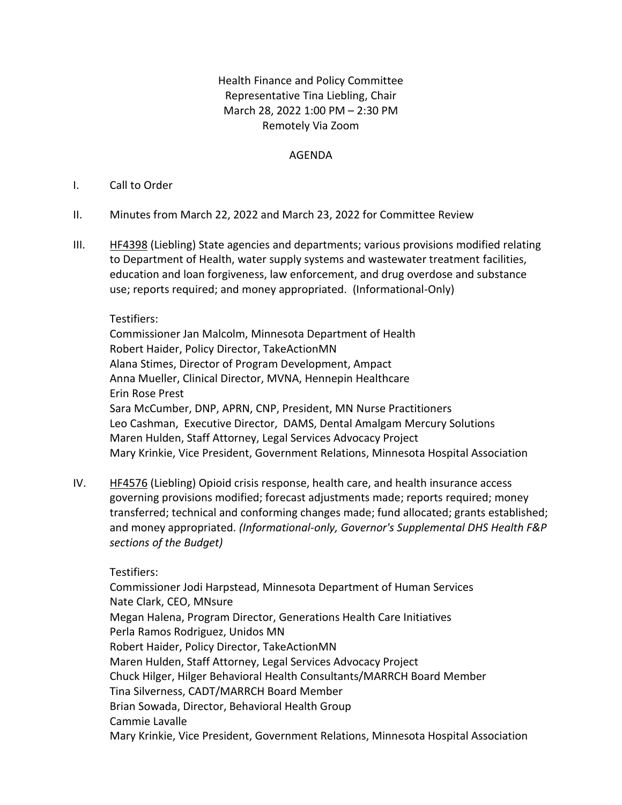## Health Finance and Policy Committee Representative Tina Liebling, Chair March 28, 2022 1:00 PM – 2:30 PM Remotely Via Zoom

## AGENDA

## I. Call to Order

- II. Minutes from March 22, 2022 and March 23, 2022 for Committee Review
- III. **[HF4398](https://www.revisor.mn.gov/bills/bill.php?b=House&f=HF4398&ssn=0&y=2022)** (Liebling) State agencies and departments; various provisions modified relating to Department of Health, water supply systems and wastewater treatment facilities, education and loan forgiveness, law enforcement, and drug overdose and substance use; reports required; and money appropriated. (Informational-Only)

## Testifiers:

Commissioner Jan Malcolm, Minnesota Department of Health Robert Haider, Policy Director, TakeActionMN Alana Stimes, Director of Program Development, Ampact Anna Mueller, Clinical Director, MVNA, Hennepin Healthcare Erin Rose Prest Sara McCumber, DNP, APRN, CNP, President, MN Nurse Practitioners Leo Cashman, Executive Director, DAMS, Dental Amalgam Mercury Solutions Maren Hulden, Staff Attorney, Legal Services Advocacy Project Mary Krinkie, Vice President, Government Relations, Minnesota Hospital Association

IV. [HF4576](https://www.revisor.mn.gov/bills/bill.php?b=House&f=HF4576&ssn=0&y=2022) (Liebling) Opioid crisis response, health care, and health insurance access governing provisions modified; forecast adjustments made; reports required; money transferred; technical and conforming changes made; fund allocated; grants established; and money appropriated. *(Informational-only, Governor's Supplemental DHS Health F&P sections of the Budget)*

Testifiers:

Commissioner Jodi Harpstead, Minnesota Department of Human Services Nate Clark, CEO, MNsure Megan Halena, Program Director, Generations Health Care Initiatives Perla Ramos Rodriguez, Unidos MN Robert Haider, Policy Director, TakeActionMN Maren Hulden, Staff Attorney, Legal Services Advocacy Project Chuck Hilger, Hilger Behavioral Health Consultants/MARRCH Board Member Tina Silverness, CADT/MARRCH Board Member Brian Sowada, Director, Behavioral Health Group Cammie Lavalle Mary Krinkie, Vice President, Government Relations, Minnesota Hospital Association